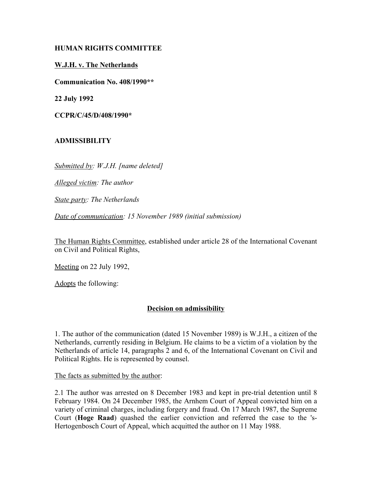# **HUMAN RIGHTS COMMITTEE**

### **W.J.H. v. The Netherlands**

**Communication No. 408/1990\*\***

**22 July 1992**

**CCPR/C/45/D/408/1990\***

#### **ADMISSIBILITY**

*Submitted by: W.J.H. [name deleted]*

*Alleged victim: The author*

*State party: The Netherlands*

*Date of communication: 15 November 1989 (initial submission)*

The Human Rights Committee, established under article 28 of the International Covenant on Civil and Political Rights,

Meeting on 22 July 1992,

Adopts the following:

#### **Decision on admissibility**

1. The author of the communication (dated 15 November 1989) is W.J.H., a citizen of the Netherlands, currently residing in Belgium. He claims to be a victim of a violation by the Netherlands of article 14, paragraphs 2 and 6, of the International Covenant on Civil and Political Rights. He is represented by counsel.

The facts as submitted by the author:

2.1 The author was arrested on 8 December 1983 and kept in pre-trial detention until 8 February 1984. On 24 December 1985, the Arnhem Court of Appeal convicted him on a variety of criminal charges, including forgery and fraud. On 17 March 1987, the Supreme Court (**Hoge Raad**) quashed the earlier conviction and referred the case to the 's-Hertogenbosch Court of Appeal, which acquitted the author on 11 May 1988.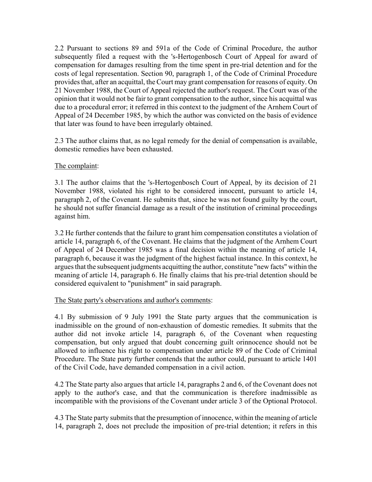2.2 Pursuant to sections 89 and 591a of the Code of Criminal Procedure, the author subsequently filed a request with the 's-Hertogenbosch Court of Appeal for award of compensation for damages resulting from the time spent in pre-trial detention and for the costs of legal representation. Section 90, paragraph 1, of the Code of Criminal Procedure provides that, after an acquittal, the Court may grant compensation for reasons of equity. On 21 November 1988, the Court of Appeal rejected the author's request. The Court was of the opinion that it would not be fair to grant compensation to the author, since his acquittal was due to a procedural error; it referred in this context to the judgment of the Arnhem Court of Appeal of 24 December 1985, by which the author was convicted on the basis of evidence that later was found to have been irregularly obtained.

2.3 The author claims that, as no legal remedy for the denial of compensation is available, domestic remedies have been exhausted.

# The complaint:

3.1 The author claims that the 's-Hertogenbosch Court of Appeal, by its decision of 21 November 1988, violated his right to be considered innocent, pursuant to article 14, paragraph 2, of the Covenant. He submits that, since he was not found guilty by the court, he should not suffer financial damage as a result of the institution of criminal proceedings against him.

3.2 He further contends that the failure to grant him compensation constitutes a violation of article 14, paragraph 6, of the Covenant. He claims that the judgment of the Arnhem Court of Appeal of 24 December 1985 was a final decision within the meaning of article 14, paragraph 6, because it was the judgment of the highest factual instance. In this context, he argues that the subsequent judgments acquitting the author, constitute "new facts" within the meaning of article 14, paragraph 6. He finally claims that his pre-trial detention should be considered equivalent to "punishment" in said paragraph.

# The State party's observations and author's comments:

4.1 By submission of 9 July 1991 the State party argues that the communication is inadmissible on the ground of non-exhaustion of domestic remedies. It submits that the author did not invoke article 14, paragraph 6, of the Covenant when requesting compensation, but only argued that doubt concerning guilt orinnocence should not be allowed to influence his right to compensation under article 89 of the Code of Criminal Procedure. The State party further contends that the author could, pursuant to article 1401 of the Civil Code, have demanded compensation in a civil action.

4.2 The State party also argues that article 14, paragraphs 2 and 6, of the Covenant does not apply to the author's case, and that the communication is therefore inadmissible as incompatible with the provisions of the Covenant under article 3 of the Optional Protocol.

4.3 The State party submits that the presumption of innocence, within the meaning of article 14, paragraph 2, does not preclude the imposition of pre-trial detention; it refers in this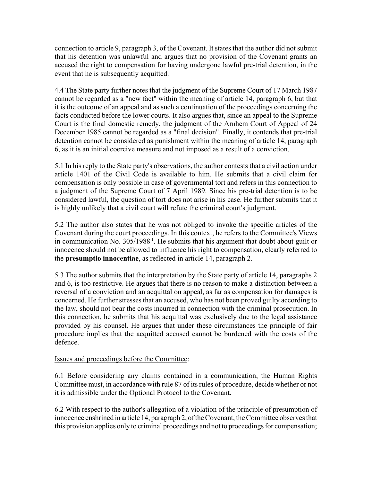connection to article 9, paragraph 3, of the Covenant. It states that the author did not submit that his detention was unlawful and argues that no provision of the Covenant grants an accused the right to compensation for having undergone lawful pre-trial detention, in the event that he is subsequently acquitted.

4.4 The State party further notes that the judgment of the Supreme Court of 17 March 1987 cannot be regarded as a "new fact" within the meaning of article 14, paragraph 6, but that it is the outcome of an appeal and as such a continuation of the proceedings concerning the facts conducted before the lower courts. It also argues that, since an appeal to the Supreme Court is the final domestic remedy, the judgment of the Arnhem Court of Appeal of 24 December 1985 cannot be regarded as a "final decision". Finally, it contends that pre-trial detention cannot be considered as punishment within the meaning of article 14, paragraph 6, as it is an initial coercive measure and not imposed as a result of a conviction.

5.1 In his reply to the State party's observations, the author contests that a civil action under article 1401 of the Civil Code is available to him. He submits that a civil claim for compensation is only possible in case of governmental tort and refers in this connection to a judgment of the Supreme Court of 7 April 1989. Since his pre-trial detention is to be considered lawful, the question of tort does not arise in his case. He further submits that it is highly unlikely that a civil court will refute the criminal court's judgment.

5.2 The author also states that he was not obliged to invoke the specific articles of the Covenant during the court proceedings. In this context, he refers to the Committee's Views in communication No.  $305/1988$ <sup>1</sup>. He submits that his argument that doubt about guilt or innocence should not be allowed to influence his right to compensation, clearly referred to the **presumptio innocentiae**, as reflected in article 14, paragraph 2.

5.3 The author submits that the interpretation by the State party of article 14, paragraphs 2 and 6, is too restrictive. He argues that there is no reason to make a distinction between a reversal of a conviction and an acquittal on appeal, as far as compensation for damages is concerned. He further stresses that an accused, who has not been proved guilty according to the law, should not bear the costs incurred in connection with the criminal prosecution. In this connection, he submits that his acquittal was exclusively due to the legal assistance provided by his counsel. He argues that under these circumstances the principle of fair procedure implies that the acquitted accused cannot be burdened with the costs of the defence.

#### Issues and proceedings before the Committee:

6.1 Before considering any claims contained in a communication, the Human Rights Committee must, in accordance with rule 87 of its rules of procedure, decide whether or not it is admissible under the Optional Protocol to the Covenant.

6.2 With respect to the author's allegation of a violation of the principle of presumption of innocence enshrined in article 14, paragraph 2, of the Covenant, the Committee observes that this provision applies only to criminal proceedings and not to proceedings for compensation;